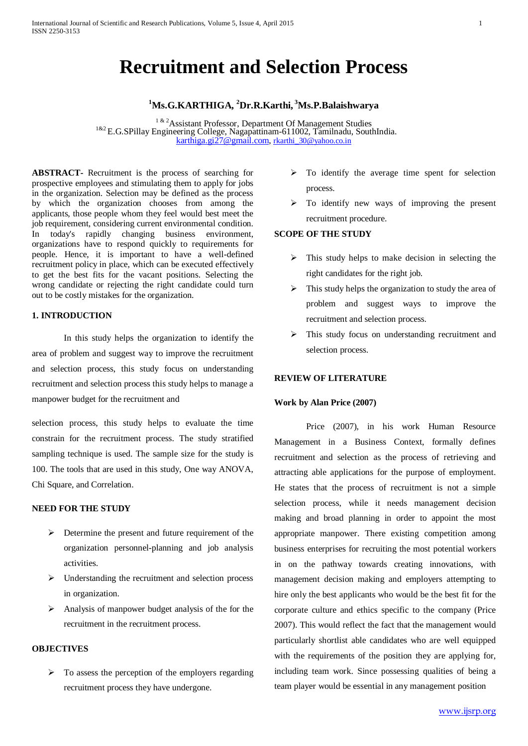# **Recruitment and Selection Process**

## **1 Ms.G.KARTHIGA, 2 Dr.R.Karthi, 3 Ms.P.Balaishwarya**

<sup>1 & 2</sup>Assistant Professor, Department Of Management Studies<br><sup>1&2</sup> E.G.SPillay Engineering College, Nagapattinam-611002, Tamilnadu, SouthIndia. [karthiga.gi27@gmail.com,](mailto:karthiga.gi27@gmail.com) [rkarthi\\_30@yahoo.co.in](mailto:rkarthi_30@yahoo.co.in)

**ABSTRACT-** Recruitment is the process of searching for prospective employees and stimulating them to apply for jobs in the organization. Selection may be defined as the process by which the organization chooses from among the applicants, those people whom they feel would best meet the job requirement, considering current environmental condition. In today's rapidly changing business environment, organizations have to respond quickly to requirements for people. Hence, it is important to have a well-defined recruitment policy in place, which can be executed effectively to get the best fits for the vacant positions. Selecting the wrong candidate or rejecting the right candidate could turn out to be costly mistakes for the organization.

#### **1. INTRODUCTION**

In this study helps the organization to identify the area of problem and suggest way to improve the recruitment and selection process, this study focus on understanding recruitment and selection process this study helps to manage a manpower budget for the recruitment and

selection process, this study helps to evaluate the time constrain for the recruitment process. The study stratified sampling technique is used. The sample size for the study is 100. The tools that are used in this study, One way ANOVA, Chi Square, and Correlation.

## **NEED FOR THE STUDY**

- $\triangleright$  Determine the present and future requirement of the organization personnel-planning and job analysis activities.
- $\triangleright$  Understanding the recruitment and selection process in organization.
- $\triangleright$  Analysis of manpower budget analysis of the for the recruitment in the recruitment process.

## **OBJECTIVES**

 $\triangleright$  To assess the perception of the employers regarding recruitment process they have undergone.

- $\triangleright$  To identify the average time spent for selection process.
- > To identify new ways of improving the present recruitment procedure.

#### **SCOPE OF THE STUDY**

- $\triangleright$  This study helps to make decision in selecting the right candidates for the right job.
- $\triangleright$  This study helps the organization to study the area of problem and suggest ways to improve the recruitment and selection process.
- $\triangleright$  This study focus on understanding recruitment and selection process.

## **REVIEW OF LITERATURE**

#### **Work by Alan Price (2007)**

Price (2007), in his work Human Resource Management in a Business Context, formally defines recruitment and selection as the process of retrieving and attracting able applications for the purpose of employment. He states that the process of recruitment is not a simple selection process, while it needs management decision making and broad planning in order to appoint the most appropriate manpower. There existing competition among business enterprises for recruiting the most potential workers in on the pathway towards creating innovations, with management decision making and employers attempting to hire only the best applicants who would be the best fit for the corporate culture and ethics specific to the company (Price 2007). This would reflect the fact that the management would particularly shortlist able candidates who are well equipped with the requirements of the position they are applying for, including team work. Since possessing qualities of being a team player would be essential in any management position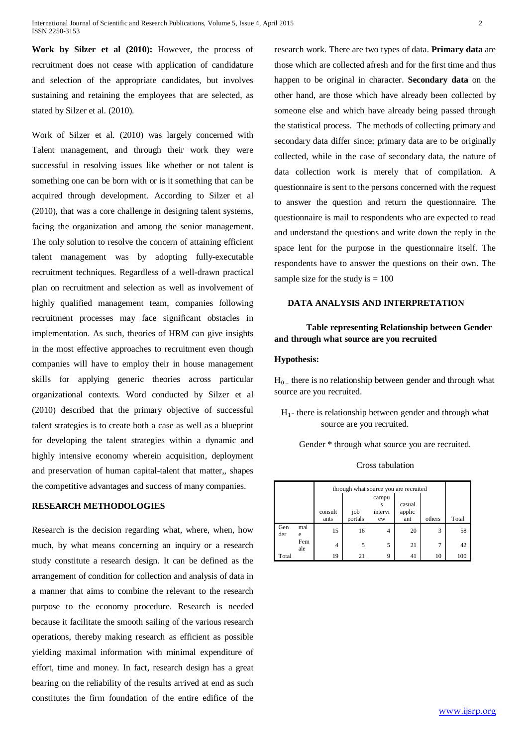**Work by Silzer et al (2010):** However, the process of recruitment does not cease with application of candidature and selection of the appropriate candidates, but involves sustaining and retaining the employees that are selected, as stated by Silzer et al. (2010).

Work of Silzer et al. (2010) was largely concerned with Talent management, and through their work they were successful in resolving issues like whether or not talent is something one can be born with or is it something that can be acquired through development. According to Silzer et al (2010), that was a core challenge in designing talent systems, facing the organization and among the senior management. The only solution to resolve the concern of attaining efficient talent management was by adopting fully-executable recruitment techniques. Regardless of a well-drawn practical plan on recruitment and selection as well as involvement of highly qualified management team, companies following recruitment processes may face significant obstacles in implementation. As such, theories of HRM can give insights in the most effective approaches to recruitment even though companies will have to employ their in house management skills for applying generic theories across particular organizational contexts. Word conducted by Silzer et al (2010) described that the primary objective of successful talent strategies is to create both a case as well as a blueprint for developing the talent strategies within a dynamic and highly intensive economy wherein acquisition, deployment and preservation of human capital-talent that matter,, shapes the competitive advantages and success of many companies.

#### **RESEARCH METHODOLOGIES**

Research is the decision regarding what, where, when, how much, by what means concerning an inquiry or a research study constitute a research design. It can be defined as the arrangement of condition for collection and analysis of data in a manner that aims to combine the relevant to the research purpose to the economy procedure. Research is needed because it facilitate the smooth sailing of the various research operations, thereby making research as efficient as possible yielding maximal information with minimal expenditure of effort, time and money. In fact, research design has a great bearing on the reliability of the results arrived at end as such constitutes the firm foundation of the entire edifice of the

research work. There are two types of data. **Primary data** are those which are collected afresh and for the first time and thus happen to be original in character. **Secondary data** on the other hand, are those which have already been collected by someone else and which have already being passed through the statistical process. The methods of collecting primary and secondary data differ since; primary data are to be originally collected, while in the case of secondary data, the nature of data collection work is merely that of compilation. A questionnaire is sent to the persons concerned with the request to answer the question and return the questionnaire. The questionnaire is mail to respondents who are expected to read and understand the questions and write down the reply in the space lent for the purpose in the questionnaire itself. The respondents have to answer the questions on their own. The sample size for the study is  $= 100$ 

#### **DATA ANALYSIS AND INTERPRETATION**

## **Table representing Relationship between Gender and through what source are you recruited**

#### **Hypothesis:**

 $H<sub>0</sub>$  – there is no relationship between gender and through what source are you recruited.

 $H_1$ - there is relationship between gender and through what source are you recruited.

Gender \* through what source you are recruited.

#### Cross tabulation

|            |            | through what source you are recruited |         |                       |                  |        |       |
|------------|------------|---------------------------------------|---------|-----------------------|------------------|--------|-------|
|            |            | consult                               | job     | campu<br>s<br>intervi | casual<br>applic |        |       |
|            |            | ants                                  | portals | ew                    | ant              | others | Total |
| Gen<br>der | mal<br>e   | 15                                    | 16      | 4                     | 20               | 3      | 58    |
|            | Fem<br>ale | 4                                     | 5       | 5                     | 21               | 7      | 42    |
| Total      |            | 19                                    | 21      | 9                     | 41               | 10     | 100   |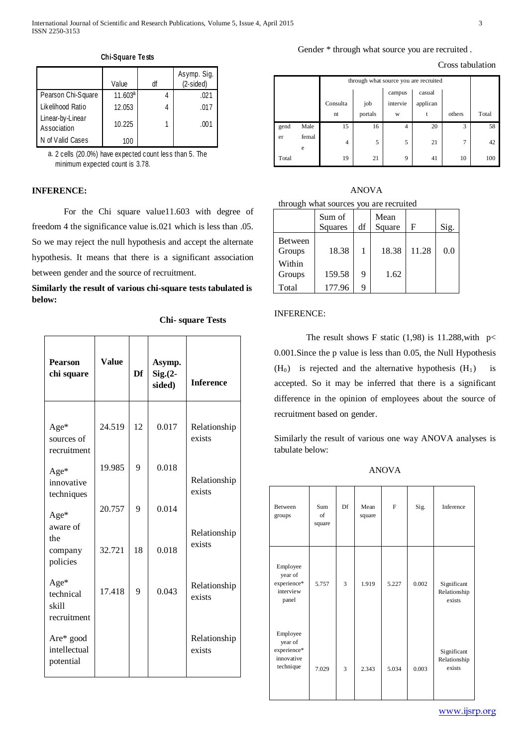## Gender \* through what source you are recruited .

| Cross tabulation |  |  |
|------------------|--|--|
|------------------|--|--|

|                                 | Value      | df | Asymp. Sig.<br>(2-sided) |
|---------------------------------|------------|----|--------------------------|
| Pearson Chi-Square              | $11.603^a$ |    | .021                     |
| Likelihood Ratio                | 12.053     |    | .017                     |
| Linear-by-Linear<br>Association | 10.225     |    | .001                     |
| N of Valid Cases                | 100        |    |                          |

**Chi-Square Tests**

2 cells (20.0%) have expected count less than 5. The a. minimum expected count is 3.78.

## **INFERENCE:**

For the Chi square value11.603 with degree of freedom 4 the significance value is.021 which is less than .05. So we may reject the null hypothesis and accept the alternate hypothesis. It means that there is a significant association between gender and the source of recruitment.

**Similarly the result of various chi-square tests tabulated is below:**

|  | <b>Chi-square Tests</b> |  |
|--|-------------------------|--|
|--|-------------------------|--|

| <b>Pearson</b><br>chi square              | <b>Value</b> | Df | Asymp.<br>$Sig. (2 -$<br>sided) | <b>Inference</b>       |
|-------------------------------------------|--------------|----|---------------------------------|------------------------|
| Age*<br>sources of<br>recruitment         | 24.519       | 12 | 0.017                           | Relationship<br>exists |
| Age*<br>innovative<br>techniques          | 19.985       | 9  | 0.018                           | Relationship<br>exists |
| Age*<br>aware of                          | 20.757       | 9  | 0.014                           | Relationship           |
| the<br>company<br>policies                | 32.721       | 18 | 0.018                           | exists                 |
| Age*<br>technical<br>skill<br>recruitment | 17.418       | 9  | 0.043                           | Relationship<br>exists |
| Are* good<br>intellectual<br>potential    |              |    |                                 | Relationship<br>exists |

|       |            | through what source you are recruited |                  |          |          |                |     |  |  |  |  |
|-------|------------|---------------------------------------|------------------|----------|----------|----------------|-----|--|--|--|--|
|       |            |                                       | casual<br>campus |          |          |                |     |  |  |  |  |
|       |            | Consulta                              | job              | intervie | applican |                |     |  |  |  |  |
|       |            | portals<br>others<br>nt<br>W<br>t     |                  |          |          |                |     |  |  |  |  |
| gend  | Male       | 15                                    | 16               | 4        | 20       | 3              | 58  |  |  |  |  |
| er    | femal<br>e | $\overline{4}$                        | 5                | 5        | 21       | $\overline{7}$ | 42  |  |  |  |  |
| Total |            | 19                                    | 21               | 9        | 41       | 10             | 100 |  |  |  |  |

|                                        | <b>ANOVA</b> |  |
|----------------------------------------|--------------|--|
| through what sources you are recruited |              |  |
|                                        |              |  |

|                          | Sum of<br><b>Squares</b> | df | Mean<br>Square | F     | Sig. |
|--------------------------|--------------------------|----|----------------|-------|------|
| <b>Between</b><br>Groups | 18.38                    | 1  | 18.38          | 11.28 | 0.0  |
| Within<br>Groups         | 159.58                   | 9  | 1.62           |       |      |
| Total                    | 177.96                   | 9  |                |       |      |

#### INFERENCE:

The result shows F static (1,98) is 11.288, with  $p <$ 0.001.Since the p value is less than 0.05, the Null Hypothesis  $(H_0)$  is rejected and the alternative hypothesis  $(H_1)$  is accepted. So it may be inferred that there is a significant difference in the opinion of employees about the source of recruitment based on gender.

Similarly the result of various one way ANOVA analyses is tabulate below:

ANOVA

| <b>Between</b><br>groups                                      | Sum<br>of<br>square | Df | Mean<br>square | $\mathbf{F}$ | Sig.  | Inference                             |
|---------------------------------------------------------------|---------------------|----|----------------|--------------|-------|---------------------------------------|
| Employee<br>year of<br>experience*<br>interview<br>panel      | 5.757               | 3  | 1.919          | 5.227        | 0.002 | Significant<br>Relationship<br>exists |
| Employee<br>year of<br>experience*<br>innovative<br>technique | 7.029               | 3  | 2.343          | 5.034        | 0.003 | Significant<br>Relationship<br>exists |